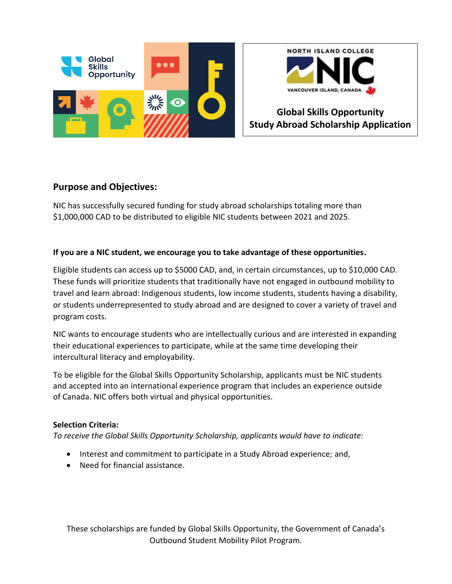



# **Global Skills Opportunity Study Abroad Scholarship Application**

## **Purpose and Objectives:**

NIC has successfully secured funding for study abroad scholarships totaling more than \$1,000,000 CAD to be distributed to eligible NIC students between 2021 and 2025.

### **If you are a NIC student, we encourage you to take advantage of these opportunities.**

Eligible students can access up to \$5000 CAD, and, in certain circumstances, up to \$10,000 CAD. These funds will prioritize students that traditionally have not engaged in outbound mobility to travel and learn abroad: Indigenous students, low income students, students having a disability, or students underrepresented to study abroad and are designed to cover a variety of travel and program costs.

NIC wants to encourage students who are intellectually curious and are interested in expanding their educational experiences to participate, while at the same time developing their intercultural literacy and employability.

To be eligible for the Global Skills Opportunity Scholarship, applicants must be NIC students and accepted into an international experience program that includes an experience outside of Canada. NIC offers both virtual and physical opportunities.

#### **Selection Criteria:**

*To receive the Global Skills Opportunity Scholarship, applicants would have to indicate:*

- Interest and commitment to participate in a Study Abroad experience; and,
- Need for financial assistance.

These scholarships are funded by Global Skills Opportunity, the Government of Canada's Outbound Student Mobility Pilot Program.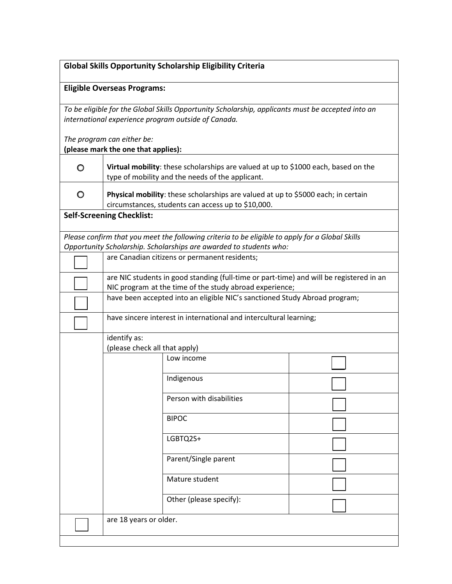#### **Eligible Overseas Programs:**

*To be eligible for the Global Skills Opportunity Scholarship, applicants must be accepted into an international experience program outside of Canada.* 

*The program can either be:*

**(please mark the one that applies):**

| $\circ$ | Virtual mobility: these scholarships are valued at up to \$1000 each, based on the<br>type of mobility and the needs of the applicant. |
|---------|----------------------------------------------------------------------------------------------------------------------------------------|
| O       | Physical mobility: these scholarships are valued at up to \$5000 each; in certain                                                      |

**Physical mobility**: these scholarships are valued at up to \$5000 each; in certain circumstances, students can access up to \$10,000.

#### **Self-Screening Checklist:**

*Please confirm that you meet the following criteria to be eligible to apply for a Global Skills Opportunity Scholarship. Scholarships are awarded to students who:*

| are Canadian citizens or permanent residents;                                                                                                      |
|----------------------------------------------------------------------------------------------------------------------------------------------------|
| are NIC students in good standing (full-time or part-time) and will be registered in an<br>NIC program at the time of the study abroad experience; |
| have been accepted into an eligible NIC's sanctioned Study Abroad program;                                                                         |

| have sincere interest in international and intercultural learning; |
|--------------------------------------------------------------------|

| identify as:                  |                          |  |
|-------------------------------|--------------------------|--|
| (please check all that apply) |                          |  |
|                               | Low income               |  |
|                               | Indigenous               |  |
|                               | Person with disabilities |  |
|                               | <b>BIPOC</b>             |  |
|                               | LGBTQ2S+                 |  |
|                               | Parent/Single parent     |  |
|                               | Mature student           |  |
|                               | Other (please specify):  |  |
| are 18 years or older.        |                          |  |
|                               |                          |  |